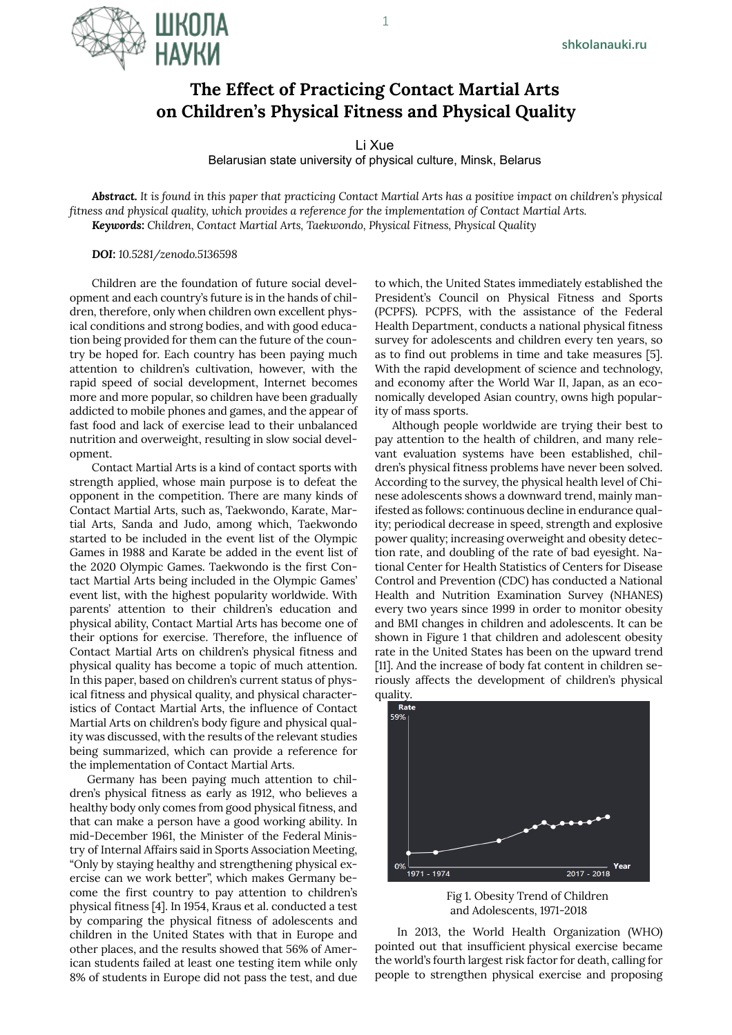

Li Xue

Belarusian state university of physical culture, Minsk, Belarus

*Abstract. It is found in this paper that practicing Contact Martial Arts has a positive impact on children's physical fitness and physical quality, which provides a reference for the implementation of Contact Martial Arts. Keywords: Children, Contact Martial Arts, Taekwondo, Physical Fitness, Physical Quality*

*DOI: 10.5281/zenodo.5136598*

IIIKNNA

Children are the foundation of future social development and each country's future is in the hands of children, therefore, only when children own excellent physical conditions and strong bodies, and with good education being provided for them can the future of the country be hoped for. Each country has been paying much attention to children's cultivation, however, with the rapid speed of social development, Internet becomes more and more popular, so children have been gradually addicted to mobile phones and games, and the appear of fast food and lack of exercise lead to their unbalanced nutrition and overweight, resulting in slow social development.

Contact Martial Arts is a kind of contact sports with strength applied, whose main purpose is to defeat the opponent in the competition. There are many kinds of Contact Martial Arts, such as, Taekwondo, Karate, Martial Arts, Sanda and Judo, among which, Taekwondo started to be included in the event list of the Olympic Games in 1988 and Karate be added in the event list of the 2020 Olympic Games. Taekwondo is the first Contact Martial Arts being included in the Olympic Games' event list, with the highest popularity worldwide. With parents' attention to their children's education and physical ability, Contact Martial Arts has become one of their options for exercise. Therefore, the influence of Contact Martial Arts on children's physical fitness and physical quality has become a topic of much attention. In this paper, based on children's current status of physical fitness and physical quality, and physical characteristics of Contact Martial Arts, the influence of Contact Martial Arts on children's body figure and physical quality was discussed, with the results of the relevant studies being summarized, which can provide a reference for the implementation of Contact Martial Arts.

Germany has been paying much attention to children's physical fitness as early as 1912, who believes a healthy body only comes from good physical fitness, and that can make a person have a good working ability. In mid-December 1961, the Minister of the Federal Ministry of Internal Affairs said in Sports Association Meeting, "Only by staying healthy and strengthening physical exercise can we work better", which makes Germany become the first country to pay attention to children's physical fitness [4]. In 1954, Kraus et al. conducted a test by comparing the physical fitness of adolescents and children in the United States with that in Europe and other places, and the results showed that 56% of American students failed at least one testing item while only 8% of students in Europe did not pass the test, and due

to which, the United States immediately established the President's Council on Physical Fitness and Sports (PCPFS). PCPFS, with the assistance of the Federal Health Department, conducts a national physical fitness survey for adolescents and children every ten years, so as to find out problems in time and take measures [5]. With the rapid development of science and technology, and economy after the World War II, Japan, as an economically developed Asian country, owns high popularity of mass sports.

Although people worldwide are trying their best to pay attention to the health of children, and many relevant evaluation systems have been established, children's physical fitness problems have never been solved. According to the survey, the physical health level of Chinese adolescents shows a downward trend, mainly manifested as follows: continuous decline in endurance quality; periodical decrease in speed, strength and explosive power quality; increasing overweight and obesity detection rate, and doubling of the rate of bad eyesight. National Center for Health Statistics of Centers for Disease Control and Prevention (CDC) has conducted a National Health and Nutrition Examination Survey (NHANES) every two years since 1999 in order to monitor obesity and BMI changes in children and adolescents. It can be shown in Figure 1 that children and adolescent obesity rate in the United States has been on the upward trend [11]. And the increase of body fat content in children seriously affects the development of children's physical



Fig 1. Obesity Trend of Children and Adolescents, 1971-2018

In 2013, the World Health Organization (WHO) pointed out that insufficient physical exercise became the world's fourth largest risk factor for death, calling for people to strengthen physical exercise and proposing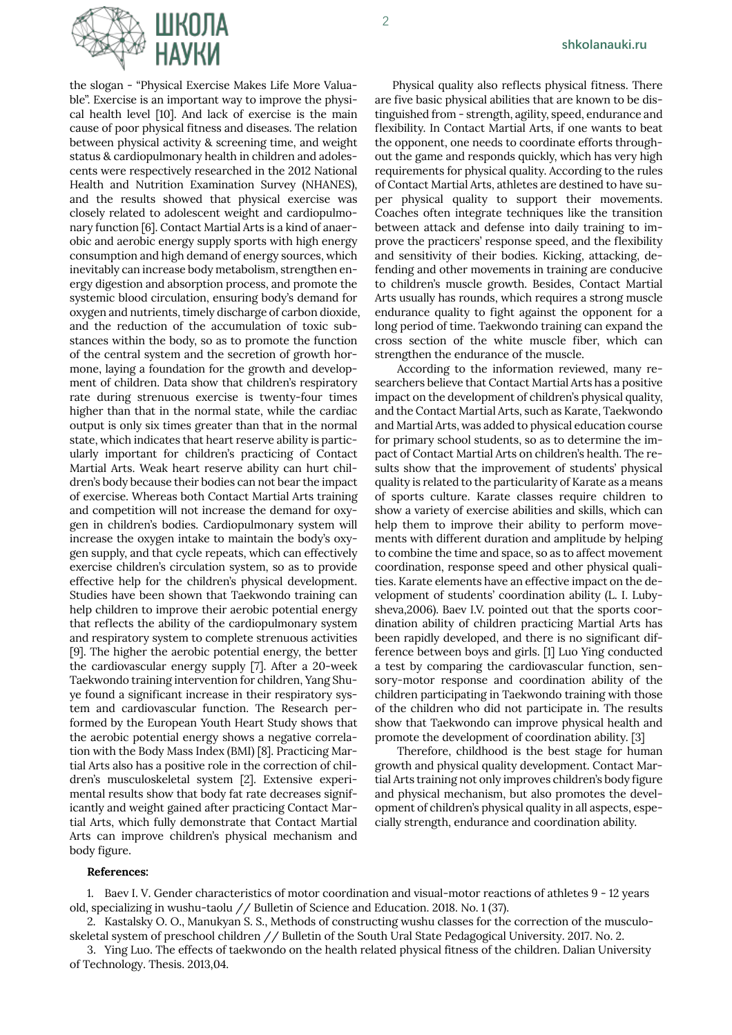

the slogan - "Physical Exercise Makes Life More Valuable". Exercise is an important way to improve the physical health level [10]. And lack of exercise is the main cause of poor physical fitness and diseases. The relation between physical activity & screening time, and weight status & cardiopulmonary health in children and adolescents were respectively researched in the 2012 National Health and Nutrition Examination Survey (NHANES), and the results showed that physical exercise was closely related to adolescent weight and cardiopulmonary function [6]. Contact Martial Arts is a kind of anaerobic and aerobic energy supply sports with high energy consumption and high demand of energy sources, which inevitably can increase body metabolism, strengthen energy digestion and absorption process, and promote the systemic blood circulation, ensuring body's demand for oxygen and nutrients, timely discharge of carbon dioxide, and the reduction of the accumulation of toxic substances within the body, so as to promote the function of the central system and the secretion of growth hormone, laying a foundation for the growth and development of children. Data show that children's respiratory rate during strenuous exercise is twenty-four times higher than that in the normal state, while the cardiac output is only six times greater than that in the normal state, which indicates that heart reserve ability is particularly important for children's practicing of Contact Martial Arts. Weak heart reserve ability can hurt children's body because their bodies can not bear the impact of exercise. Whereas both Contact Martial Arts training and competition will not increase the demand for oxygen in children's bodies. Cardiopulmonary system will increase the oxygen intake to maintain the body's oxygen supply, and that cycle repeats, which can effectively exercise children's circulation system, so as to provide effective help for the children's physical development. Studies have been shown that Taekwondo training can help children to improve their aerobic potential energy that reflects the ability of the cardiopulmonary system and respiratory system to complete strenuous activities [9]. The higher the aerobic potential energy, the better the cardiovascular energy supply [7]. After a 20-week Taekwondo training intervention for children, Yang Shuye found a significant increase in their respiratory system and cardiovascular function. The Research performed by the European Youth Heart Study shows that the aerobic potential energy shows a negative correlation with the Body Mass Index (BMI) [8]. Practicing Martial Arts also has a positive role in the correction of children's musculoskeletal system [2]. Extensive experimental results show that body fat rate decreases significantly and weight gained after practicing Contact Martial Arts, which fully demonstrate that Contact Martial Arts can improve children's physical mechanism and body figure.

Physical quality also reflects physical fitness. There are five basic physical abilities that are known to be distinguished from - strength, agility, speed, endurance and flexibility. In Contact Martial Arts, if one wants to beat the opponent, one needs to coordinate efforts throughout the game and responds quickly, which has very high requirements for physical quality. According to the rules of Contact Martial Arts, athletes are destined to have super physical quality to support their movements. Coaches often integrate techniques like the transition between attack and defense into daily training to improve the practicers' response speed, and the flexibility and sensitivity of their bodies. Kicking, attacking, defending and other movements in training are conducive to children's muscle growth. Besides, Contact Martial Arts usually has rounds, which requires a strong muscle endurance quality to fight against the opponent for a long period of time. Taekwondo training can expand the cross section of the white muscle fiber, which can strengthen the endurance of the muscle.

According to the information reviewed, many researchers believe that Contact Martial Arts has a positive impact on the development of children's physical quality, and the Contact Martial Arts, such as Karate, Taekwondo and Martial Arts, was added to physical education course for primary school students, so as to determine the impact of Contact Martial Arts on children's health. The results show that the improvement of students' physical quality is related to the particularity of Karate as a means of sports culture. Karate classes require children to show a variety of exercise abilities and skills, which can help them to improve their ability to perform movements with different duration and amplitude by helping to combine the time and space, so as to affect movement coordination, response speed and other physical qualities. Karate elements have an effective impact on the development of students' coordination ability (L. I. Lubysheva,2006). Baev I.V. pointed out that the sports coordination ability of children practicing Martial Arts has been rapidly developed, and there is no significant difference between boys and girls. [1] Luo Ying conducted a test by comparing the cardiovascular function, sensory-motor response and coordination ability of the children participating in Taekwondo training with those of the children who did not participate in. The results show that Taekwondo can improve physical health and promote the development of coordination ability. [3]

Therefore, childhood is the best stage for human growth and physical quality development. Contact Martial Arts training not only improves children's body figure and physical mechanism, but also promotes the development of children's physical quality in all aspects, especially strength, endurance and coordination ability.

## **References:**

1. Baev I. V. Gender characteristics of motor coordination and visual-motor reactions of athletes 9 - 12 years old, specializing in wushu-taolu // Bulletin of Science and Education. 2018. No. 1 (37).

2. Kastalsky O. O., Manukyan S. S., Methods of constructing wushu classes for the correction of the musculoskeletal system of preschool children // Bulletin of the South Ural State Pedagogical University. 2017. No. 2.

3. Ying Luo. The effects of taekwondo on the health related physical fitness of the children. Dalian University of Technology. Thesis. 2013,04.